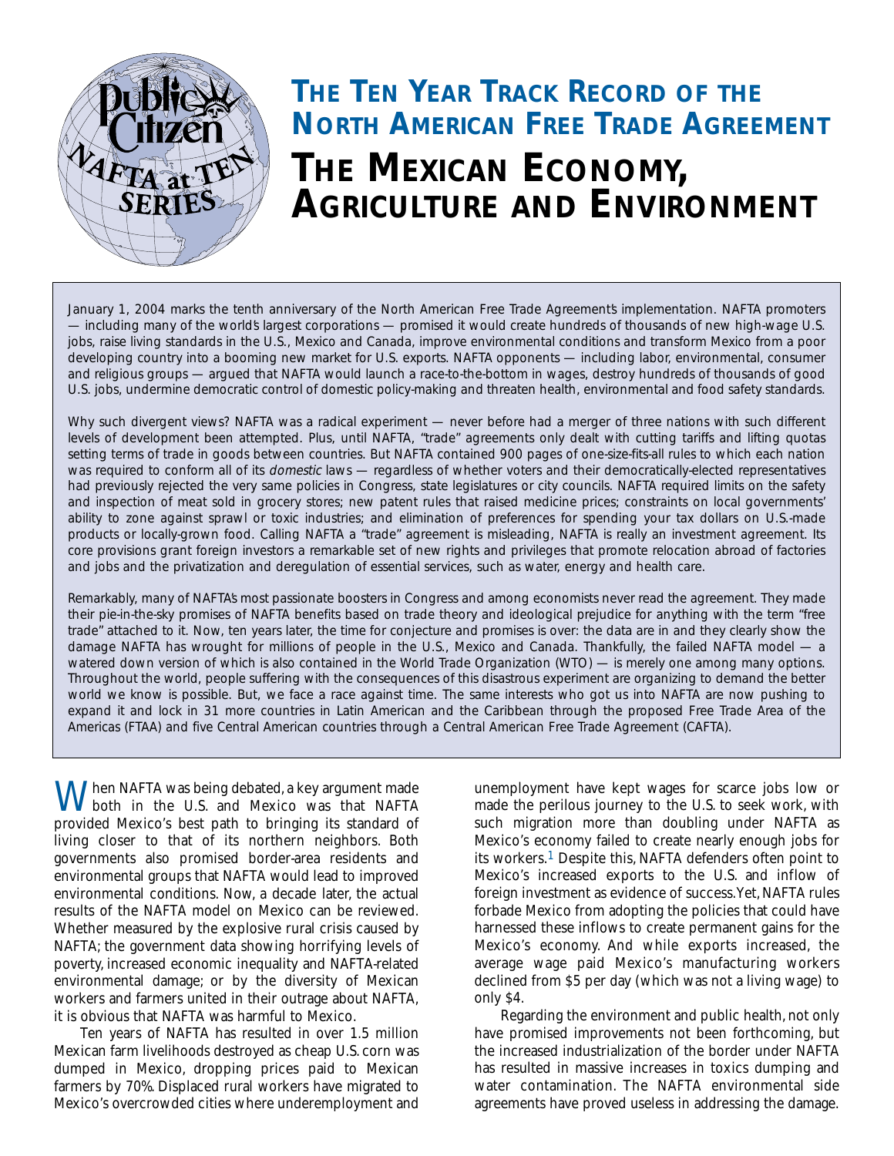

# *THE TEN YEAR TRACK RECORD OF THE NORTH AMERICAN FREE TRADE AGREEMENT THE MEXICAN ECONOMY, AGRICULTURE AND ENVIRONMENT*

January 1, 2004 marks the tenth anniversary of the North American Free Trade Agreements implementation. NAFTA promoters *— including many of the world's largest corporations — promised it would create hundreds of thousands of new high-wage U.S. jobs, raise living standards in the U.S., Mexico and Canada, improve environmental conditions and transform Mexico from a poor developing country into a booming new market for U.S. exports. NAFTA opponents — including labor, environmental, consumer and religious groups — argued that NAFTA would launch a race-to-the-bottom in wages, destroy hundreds of thousands of good U.S. jobs, undermine democratic control of domestic policy-making and threaten health, environmental and food safety standards.*

*Why such divergent views? NAFTA was a radical experiment — never before had a merger of three nations with such different levels of development been attempted. Plus, until NAFTA, "trade" agreements only dealt with cutting tariffs and lifting quotas setting terms of trade in goods between countries. But NAFTA contained 900 pages of one-size-fits-all rules to which each nation was required to conform all of its domestic laws — regardless of whether voters and their democratically-elected representatives had previously rejected the very same policies in Congress, state legislatures or city councils. NAFTA required limits on the safety and inspection of meat sold in grocery stores; new patent rules that raised medicine prices; constraints on local governments' ability to zone against sprawl or toxic industries; and elimination of preferences for spending your tax dollars on U.S.-made products or locally-grown food. Calling NAFTA a "trade" agreement is misleading, NAFTA is really an investment agreement. Its core provisions grant foreign investors a remarkable set of new rights and privileges that promote relocation abroad of factories and jobs and the privatization and deregulation of essential services, such as water, energy and health care.*

*Remarkably, many of NAFTA's most passionate boosters in Congress and among economists never read the agreement. They made their pie-in-the-sky promises of NAFTA benefits based on trade theory and ideological prejudice for anything with the term "free trade" attached to it. Now, ten years later, the time for conjecture and promises is over: the data are in and they clearly show the damage NAFTA has wrought for millions of people in the U.S., Mexico and Canada. Thankfully, the failed NAFTA model — a watered down version of which is also contained in the World Trade Organization (WTO) — is merely one among many options. Throughout the world, people suffering with the consequences of this disastrous experiment are organizing to demand the better world we know is possible. But, we face a race against time. The same interests who got us into NAFTA are now pushing to expand it and lock in 31 more countries in Latin American and the Caribbean through the proposed Free Trade Area of the Americas (FTAA) and five Central American countries through a Central American Free Trade Agreement (CAFTA).* 

When NAFTA was being debated, a key argument made<br>both in the U.S. and Mexico was that NAFTA provided Mexico's best path to bringing its standard of living closer to that of its northern neighbors. Both governments also promised border-area residents and environmental groups that NAFTA would lead to improved environmental conditions. Now, a decade later, the actual results of the NAFTA model on Mexico can be reviewed. Whether measured by the explosive rural crisis caused by NAFTA; the government data showing horrifying levels of poverty, increased economic inequality and NAFTA-related environmental damage; or by the diversity of Mexican workers and farmers united in their outrage about NAFTA, it is obvious that NAFTA was harmful to Mexico.

Ten years of NAFTA has resulted in over 1.5 million Mexican farm livelihoods destroyed as cheap U.S. corn was dumped in Mexico, dropping prices paid to Mexican farmers by 70%. Displaced rural workers have migrated to Mexico's overcrowded cities where underemployment and unemployment have kept wages for scarce jobs low or made the perilous journey to the U.S. to seek work, with such migration more than doubling under NAFTA as Mexico's economy failed to create nearly enough jobs for its workers.1 Despite this, NAFTA defenders often point to Mexico's increased exports to the U.S. and inflow of foreign investment as evidence of success.Yet,NAFTA rules forbade Mexico from adopting the policies that could have harnessed these inflows to create permanent gains for the Mexico's economy. And while exports increased, the average wage paid Mexico's manufacturing workers declined from \$5 per day (which was not a living wage) to only \$4.

Regarding the environment and public health, not only have promised improvements not been forthcoming, but the increased industrialization of the border under NAFTA has resulted in massive increases in toxics dumping and water contamination. The NAFTA environmental side agreements have proved useless in addressing the damage.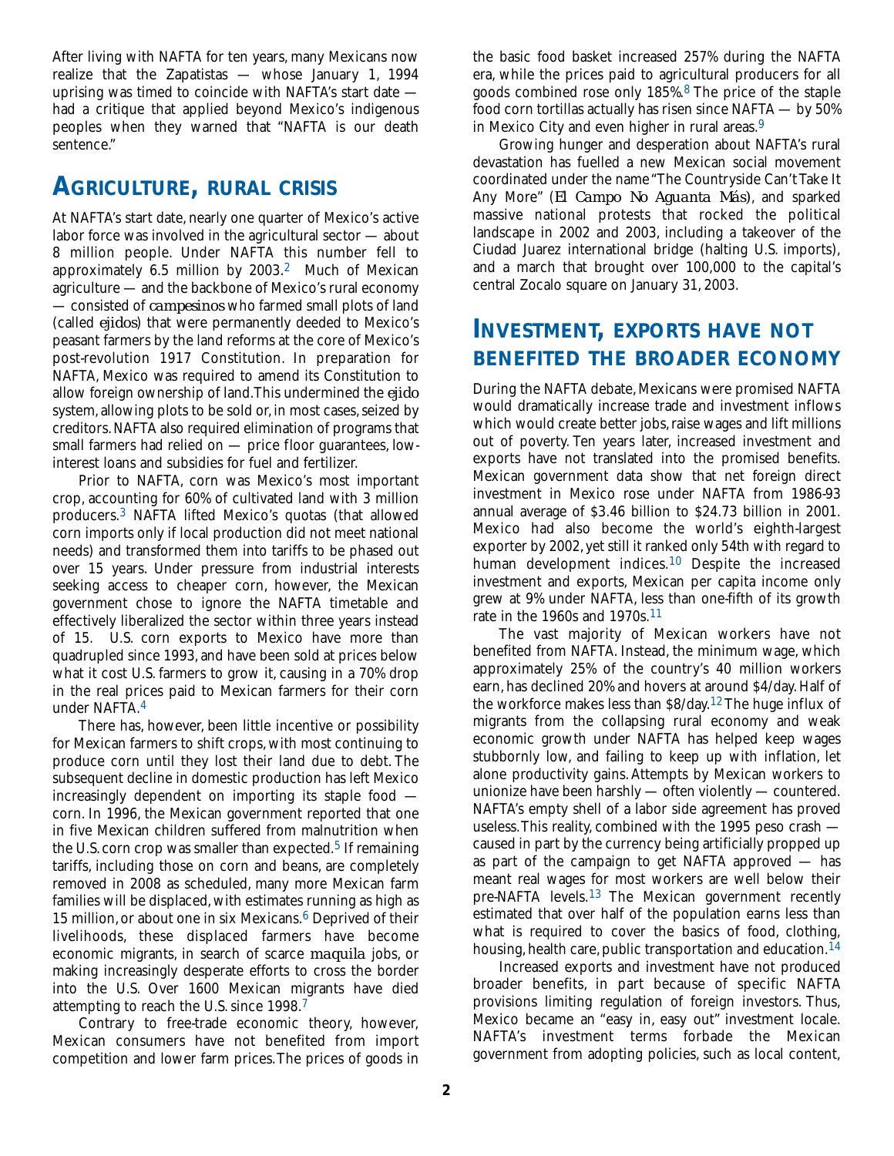After living with NAFTA for ten years, many Mexicans now realize that the Zapatistas — whose January 1, 1994 uprising was timed to coincide with NAFTA's start date had a critique that applied beyond Mexico's indigenous peoples when they warned that "NAFTA is our death sentence."

#### *AGRICULTURE, RURAL CRISIS*

At NAFTA's start date, nearly one quarter of Mexico's active labor force was involved in the agricultural sector — about 8 million people. Under NAFTA this number fell to approximately 6.5 million by 2003.2 Much of Mexican agriculture — and the backbone of Mexico's rural economy — consisted of *campesinos* who farmed small plots of land (called *ejidos*) that were permanently deeded to Mexico's peasant farmers by the land reforms at the core of Mexico's post-revolution 1917 Constitution. In preparation for NAFTA, Mexico was required to amend its Constitution to allow foreign ownership of land.This undermined the *ejido* system, allowing plots to be sold or, in most cases, seized by creditors.NAFTA also required elimination of programs that small farmers had relied on — price floor guarantees, lowinterest loans and subsidies for fuel and fertilizer.

Prior to NAFTA, corn was Mexico's most important crop, accounting for 60% of cultivated land with 3 million producers.3 NAFTA lifted Mexico's quotas (that allowed corn imports only if local production did not meet national needs) and transformed them into tariffs to be phased out over 15 years. Under pressure from industrial interests seeking access to cheaper corn, however, the Mexican government chose to ignore the NAFTA timetable and effectively liberalized the sector within three years instead of 15. U.S. corn exports to Mexico have more than quadrupled since 1993, and have been sold at prices below what it cost U.S. farmers to grow it, causing in a 70% drop in the real prices paid to Mexican farmers for their corn under NAFTA.4

There has, however, been little incentive or possibility for Mexican farmers to shift crops, with most continuing to produce corn until they lost their land due to debt. The subsequent decline in domestic production has left Mexico increasingly dependent on importing its staple food corn. In 1996, the Mexican government reported that one in five Mexican children suffered from malnutrition when the U.S. corn crop was smaller than expected.<sup>5</sup> If remaining tariffs, including those on corn and beans, are completely removed in 2008 as scheduled, many more Mexican farm families will be displaced, with estimates running as high as 15 million, or about one in six Mexicans. $6$  Deprived of their livelihoods, these displaced farmers have become economic migrants, in search of scarce *maquila* jobs, or making increasingly desperate efforts to cross the border into the U.S. Over 1600 Mexican migrants have died attempting to reach the U.S. since 1998.7

Contrary to free-trade economic theory, however, Mexican consumers have not benefited from import competition and lower farm prices.The prices of goods in

the basic food basket increased 257% during the NAFTA era, while the prices paid to agricultural producers for all goods combined rose only 185%.8 The price of the staple food corn tortillas actually has risen since NAFTA — by 50% in Mexico City and even higher in rural areas.9

Growing hunger and desperation about NAFTA's rural devastation has fuelled a new Mexican social movement coordinated under the name "The Countryside Can't Take It Any More" (*El Campo No Aguanta Más)*, and sparked massive national protests that rocked the political landscape in 2002 and 2003, including a takeover of the Ciudad Juarez international bridge (halting U.S. imports), and a march that brought over 100,000 to the capital's central Zocalo square on January 31, 2003.

### *INVESTMENT, EXPORTS HAVE NOT BENEFITED THE BROADER ECONOMY*

During the NAFTA debate, Mexicans were promised NAFTA would dramatically increase trade and investment inflows which would create better jobs, raise wages and lift millions out of poverty. Ten years later, increased investment and exports have not translated into the promised benefits. Mexican government data show that net foreign direct investment in Mexico rose under NAFTA from 1986-93 annual average of \$3.46 billion to \$24.73 billion in 2001. Mexico had also become the world's eighth-largest exporter by 2002, yet still it ranked only 54th with regard to human development indices.<sup>10</sup> Despite the increased investment and exports, Mexican per capita income only grew at 9% under NAFTA, less than one-fifth of its growth rate in the 1960s and 1970s.11

The vast majority of Mexican workers have not benefited from NAFTA. Instead, the minimum wage, which approximately 25% of the country's 40 million workers earn, has declined 20% and hovers at around \$4/day. Half of the workforce makes less than \$8/day.12 The huge influx of migrants from the collapsing rural economy and weak economic growth under NAFTA has helped keep wages stubbornly low, and failing to keep up with inflation, let alone productivity gains. Attempts by Mexican workers to unionize have been harshly — often violently — countered. NAFTA's empty shell of a labor side agreement has proved useless.This reality, combined with the 1995 peso crash caused in part by the currency being artificially propped up as part of the campaign to get NAFTA approved — has meant real wages for most workers are well below their pre-NAFTA levels.13 The Mexican government recently estimated that over half of the population earns less than what is required to cover the basics of food, clothing, housing, health care, public transportation and education.<sup>14</sup>

Increased exports and investment have not produced broader benefits, in part because of specific NAFTA provisions limiting regulation of foreign investors. Thus, Mexico became an "easy in, easy out" investment locale. NAFTA's investment terms forbade the Mexican government from adopting policies, such as local content,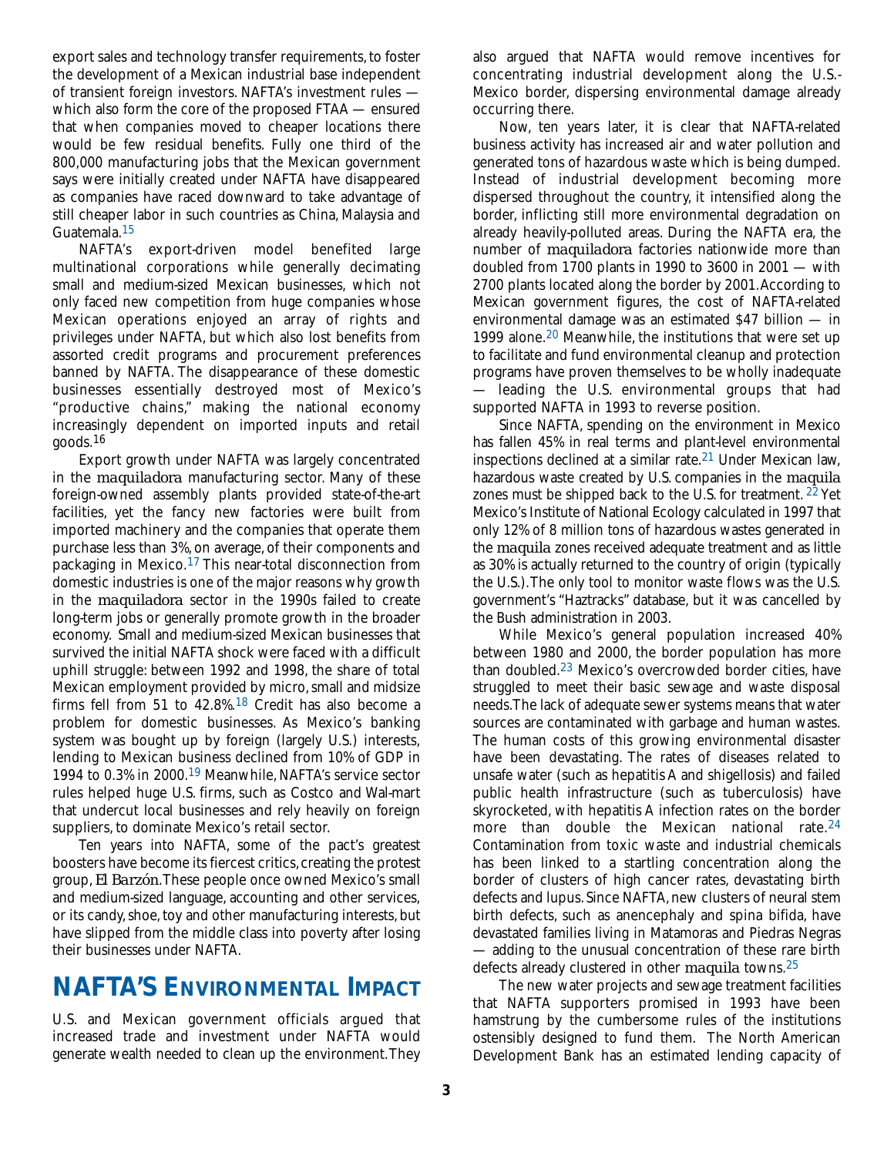export sales and technology transfer requirements, to foster the development of a Mexican industrial base independent of transient foreign investors. NAFTA's investment rules which also form the core of the proposed FTAA — ensured that when companies moved to cheaper locations there would be few residual benefits. Fully one third of the 800,000 manufacturing jobs that the Mexican government says were initially created under NAFTA have disappeared as companies have raced downward to take advantage of still cheaper labor in such countries as China, Malaysia and Guatemala.15

NAFTA's export-driven model benefited large multinational corporations while generally decimating small and medium-sized Mexican businesses, which not only faced new competition from huge companies whose Mexican operations enjoyed an array of rights and privileges under NAFTA, but which also lost benefits from assorted credit programs and procurement preferences banned by NAFTA. The disappearance of these domestic businesses essentially destroyed most of Mexico's "productive chains," making the national economy increasingly dependent on imported inputs and retail goods.16

Export growth under NAFTA was largely concentrated in the *maquiladora* manufacturing sector. Many of these foreign-owned assembly plants provided state-of-the-art facilities, yet the fancy new factories were built from imported machinery and the companies that operate them purchase less than 3%, on average, of their components and packaging in Mexico.17 This near-total disconnection from domestic industries is one of the major reasons why growth in the *maquiladora* sector in the 1990s failed to create long-term jobs or generally promote growth in the broader economy. Small and medium-sized Mexican businesses that survived the initial NAFTA shock were faced with a difficult uphill struggle: between 1992 and 1998, the share of total Mexican employment provided by micro, small and midsize firms fell from 51 to 42.8%.18 Credit has also become a problem for domestic businesses. As Mexico's banking system was bought up by foreign (largely U.S.) interests, lending to Mexican business declined from 10% of GDP in 1994 to 0.3% in 2000.19 Meanwhile, NAFTA's service sector rules helped huge U.S. firms, such as Costco and Wal-mart that undercut local businesses and rely heavily on foreign suppliers, to dominate Mexico's retail sector.

Ten years into NAFTA, some of the pact's greatest boosters have become its fiercest critics, creating the protest group, *El Barzón*.These people once owned Mexico's small and medium-sized language, accounting and other services, or its candy, shoe, toy and other manufacturing interests, but have slipped from the middle class into poverty after losing their businesses under NAFTA.

## *NAFTA'S ENVIRONMENTAL IMPACT*

U.S. and Mexican government officials argued that increased trade and investment under NAFTA would generate wealth needed to clean up the environment.They

also argued that NAFTA would remove incentives for concentrating industrial development along the U.S.- Mexico border, dispersing environmental damage already occurring there.

Now, ten years later, it is clear that NAFTA-related business activity has increased air and water pollution and generated tons of hazardous waste which is being dumped. Instead of industrial development becoming more dispersed throughout the country, it intensified along the border, inflicting still more environmental degradation on already heavily-polluted areas. During the NAFTA era, the number of *maquiladora* factories nationwide more than doubled from 1700 plants in 1990 to 3600 in 2001 — with 2700 plants located along the border by 2001.According to Mexican government figures, the cost of NAFTA-related environmental damage was an estimated \$47 billion — in 1999 alone.20 Meanwhile, the institutions that were set up to facilitate and fund environmental cleanup and protection programs have proven themselves to be wholly inadequate — leading the U.S. environmental groups that had supported NAFTA in 1993 to reverse position.

Since NAFTA, spending on the environment in Mexico has fallen 45% in real terms and plant-level environmental inspections declined at a similar rate.21 Under Mexican law, hazardous waste created by U.S. companies in the *maquila* zones must be shipped back to the U.S. for treatment.  $22$  Yet Mexico's Institute of National Ecology calculated in 1997 that only 12% of 8 million tons of hazardous wastes generated in the *maquila* zones received adequate treatment and as little as 30% is actually returned to the country of origin (typically the U.S.).The only tool to monitor waste flows was the U.S. government's "Haztracks" database, but it was cancelled by the Bush administration in 2003.

While Mexico's general population increased 40% between 1980 and 2000, the border population has more than doubled.23 Mexico's overcrowded border cities, have struggled to meet their basic sewage and waste disposal needs.The lack of adequate sewer systems means that water sources are contaminated with garbage and human wastes. The human costs of this growing environmental disaster have been devastating. The rates of diseases related to unsafe water (such as hepatitis A and shigellosis) and failed public health infrastructure (such as tuberculosis) have skyrocketed, with hepatitis A infection rates on the border more than double the Mexican national rate.<sup>24</sup> Contamination from toxic waste and industrial chemicals has been linked to a startling concentration along the border of clusters of high cancer rates, devastating birth defects and lupus. Since NAFTA, new clusters of neural stem birth defects, such as anencephaly and spina bifida, have devastated families living in Matamoras and Piedras Negras — adding to the unusual concentration of these rare birth defects already clustered in other *maquila* towns.25

The new water projects and sewage treatment facilities that NAFTA supporters promised in 1993 have been hamstrung by the cumbersome rules of the institutions ostensibly designed to fund them. The North American Development Bank has an estimated lending capacity of